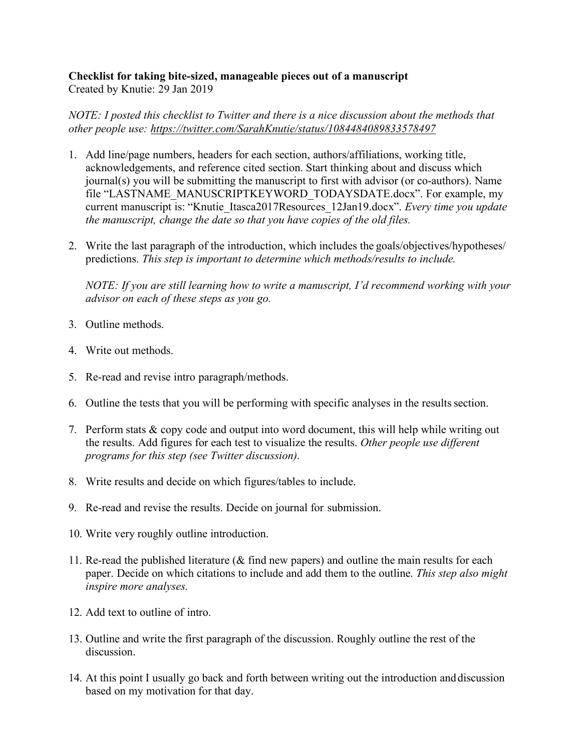## **Checklist for taking bite-sized, manageable pieces out of a manuscript** Created by Knutie: 29 Jan 2019

*NOTE: I posted this checklist to Twitter and there is a nice discussion about the methods that other people use: https://twitter.com/SarahKnutie/status/1084484089833578497*

- 1. Add line/page numbers, headers for each section, authors/affiliations, working title, acknowledgements, and reference cited section. Start thinking about and discuss which journal(s) you will be submitting the manuscript to first with advisor (or co-authors). Name file "LASTNAME\_MANUSCRIPTKEYWORD\_TODAYSDATE.docx". For example, my current manuscript is: "Knutie\_Itasca2017Resources\_12Jan19.docx". *Every time you update the manuscript, change the date so that you have copies of the old files.*
- 2. Write the last paragraph of the introduction, which includes the goals/objectives/hypotheses/ predictions. *This step is important to determine which methods/results to include.*

*NOTE: If you are still learning how to write a manuscript, I'd recommend working with your advisor on each of these steps as you go.*

- 3. Outline methods.
- 4. Write out methods.
- 5. Re-read and revise intro paragraph/methods.
- 6. Outline the tests that you will be performing with specific analyses in the results section.
- 7. Perform stats & copy code and output into word document, this will help while writing out the results. Add figures for each test to visualize the results. *Other people use different programs for this step (see Twitter discussion).*
- 8. Write results and decide on which figures/tables to include.
- 9. Re-read and revise the results. Decide on journal for submission.
- 10. Write very roughly outline introduction.
- 11. Re-read the published literature ( $\&$  find new papers) and outline the main results for each paper. Decide on which citations to include and add them to the outline. *This step also might inspire more analyses.*
- 12. Add text to outline of intro.
- 13. Outline and write the first paragraph of the discussion. Roughly outline the rest of the discussion.
- 14. At this point I usually go back and forth between writing out the introduction anddiscussion based on my motivation for that day.